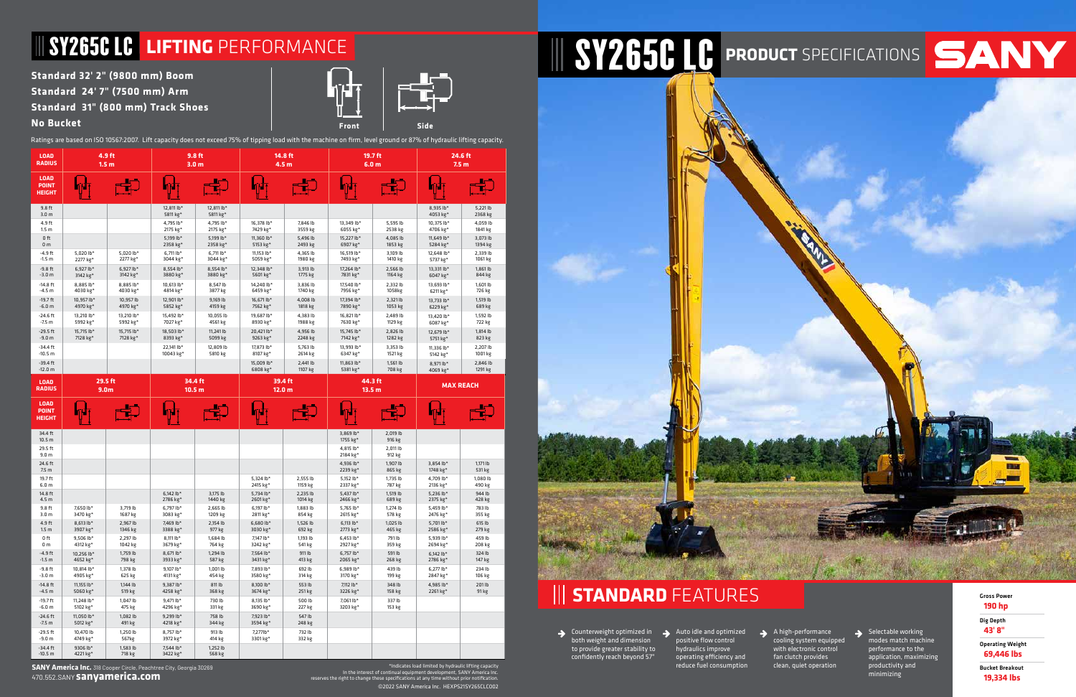Indicates load limited by hydraulic lifting capacity\*<br>In the interest of continual equipment development, SANY America Inc.<br>.reserves the right to change these specifications at any time without prior notification. ©2022 SANY America Inc. HEXPS21SY265CLC002

المستقلات

## **Standard 32' 2" (9800 mm) Boom Standard 24' 7" (7500 mm) Arm**

**Standard 31" (800 mm) Track Shoes**

### **No Bucket**

Ratings are based on ISO 10567:2007. Lift capacity does not exceed 75% of tipping load with the machine on firm, level ground or 87% of hydraulic lifting capacity.

**Front Side**

# WEST ANY AND SYNCOLOGY STATES OF THE SYNCOLOGY STATES OF THE SYNCOLOGY STATES OF THE STATES OF THE STATES OF THE STATES OF THE STATES OF THE STATES OF THE STATES OF THE STATES OF THE STATES OF THE STATES OF THE STATES OF T

**STANDARD** FEATURES Gross Power

| <b>LOAD</b><br><b>RADIUS</b>                 |                         | 4.9 ft<br>1.5 <sub>m</sub>  |                              | 9.8 ft<br>3.0 <sub>m</sub> |                              | 14.8 ft<br>4.5 <sub>m</sub> | 19.7 ft<br>6.0 <sub>m</sub>  |                     |                        | 24.6 ft<br>7.5 <sub>m</sub> |
|----------------------------------------------|-------------------------|-----------------------------|------------------------------|----------------------------|------------------------------|-----------------------------|------------------------------|---------------------|------------------------|-----------------------------|
| <b>LOAD</b><br><b>POINT</b><br><b>HEIGHT</b> |                         |                             |                              |                            |                              |                             |                              |                     |                        |                             |
| 9.8 ft<br>3.0 <sub>m</sub>                   |                         |                             | 12.811 lb*<br>5811 kg*       | 12.811 lb*<br>5811 kg*     |                              |                             |                              |                     | 8.935 lb*<br>4053 kg*  | 5,221 lb<br>2368 kg         |
| 4.9 ft<br>1.5 <sub>m</sub>                   |                         |                             | 4.795 lb*<br>2175 kg*        | 4.795 lb*<br>2175 kg*      | 16.378 lb*<br>7429 kg*       | 7,846 lb<br>3559 kg         | 13,349 lb*<br>6055 kg*       | 5,595 lb<br>2538 kg | 10.375 lb*<br>4706 kg* | 4,059 lb<br>1841 kg         |
| $0$ ft<br>0 <sub>m</sub>                     |                         |                             | 5,199 lb*<br>2358 kg*        | 5,199 lb*<br>2358 kg*      | 11,360 lb*<br>5153 kg*       | 5,496 lb<br>2493 kg         | 15,227 lb*<br>6907 kg*       | 4,085 lb<br>1853 kg | 11,649 lb*<br>5284 kg* | 3,073 lb<br>1394 kg         |
| $-4.9$ ft<br>$-1.5 m$                        | 5,020 lb*<br>2277 kg*   | $5,020$ lb*<br>2277 kg*     | $6.711$ lb*<br>3044 kg*      | $6.711$ lb*<br>3044 kg*    | 11,153 lb*<br>5059 kg*       | 4,365 lb<br>1980 kg         | 16,519 lb*<br>7493 kg*       | 3,109 lb<br>1410 kg | 12,648 lb*<br>5737 kg* | 2,339 lb<br>1061 kg         |
| $-9.8$ ft<br>$-3.0 m$                        | $6.927 lb*$<br>3142 kg* | $6.927$ lb*<br>3142 kg*     | 8.554 lb*<br>3880 kg*        | 8.554 lb*<br>3880 kg*      | 12.348 lb*<br>5601 kg*       | 3,913 lb<br>1775 kg         | 17.264 lb*<br>7831 kg*       | 2,566 lb<br>1164 kg | 13.331 lb*<br>6047 kg* | 1,861 lb<br>844 kg          |
| $-14.8$ ft<br>$-4.5 m$                       | 8.885 lb*<br>4030 kg*   | 8.885 lb*<br>4030 kg*       | 10.613 lb*<br>4814 kg*       | 8.547 lb<br>3877 kg        | 14.240 lb*<br>6459 kg*       | 3.836 lb<br>1740 kg         | 17.540 lb*<br>7956 kg*       | 2,332 lb<br>1058kg  | 13,693 lb*<br>6211 kg* | 1,601 lb<br>726 kg          |
| $-19.7$ ft<br>$-6.0 m$                       | 10.957 lb*<br>4970 kg*  | 10,957 lb<br>4970 kg*       | 12,901 lb*<br>5852 kg*       | 9,169 lb<br>4159 kg        | 16,671 lb*<br>7562 kg*       | 4,008 lb<br>1818 kg         | 17,394 lb*<br>7890 kg*       | 2,321 lb<br>1053 kg | 13,733 lb*<br>6229 kg* | 1,519 lb<br>689 kg          |
| $-24.6$ ft<br>$-7.5 m$                       | 13.210 lb*<br>5992 kg*  | 13.210 lb*<br>5992 kg*      | 15.492 lb*<br>7027 kg*       | 10.055 lb<br>4561 kg       | 19.687 lb*<br>8930 kg*       | 4,383 lb<br>1988 kg         | 16.821 lb*<br>7630 kg*       | 2,489 lb<br>1129 kg | 13.420 lb*<br>6087 kg* | 1,592 lb<br>722 kg          |
| $-29.5$ ft<br>$-9.0 m$                       | 15.715 lb*<br>7128 kg*  | 15.715 lb*<br>7128 kg*      | 18.503 lb*<br>8393 kg*       | 11,241 lb<br>5099 kg       | 20,421 lb*<br>9263 kg*       | 4,956 lb<br>2248 kg         | 15.745 lb*<br>7142 kg*       | 2,826 lb<br>1282 kg | 12,679 lb*<br>5751 kg* | 1,814 lb<br>823 kg          |
| $-34.4$ ft<br>$-10.5 m$                      |                         |                             | 22.141 lb*<br>10043 kg*      | 12,809 lb<br>5810 kg       | 17.873 lb*<br>8107 kg*       | 5,763 lb<br>2614 kg         | 13.993 lb*<br>6347 kg*       | 3,353 lb<br>1521 kg | 11.336 lb*<br>5142 kg* | 2,207 lb<br>1001 kg         |
| $-39.4$ ft<br>$-12.0 m$                      |                         |                             |                              |                            | 15,009 lb*<br>6808 kg*       | 2,441 lb<br>1107 kg         | 11,863 $lb*$<br>5381 kg*     | 1,561 lb<br>708 kg  | 8.971 lb*<br>4069 kg*  | 2,846 lb<br>1291 kg         |
| <b>LOAD</b><br><b>RADIUS</b>                 |                         | 29.5 ft<br>9.0 <sub>m</sub> | 34.4 ft<br>10.5 <sub>m</sub> |                            | 39.4 ft<br>12.0 <sub>m</sub> |                             | 44.3 ft<br>13.5 <sub>m</sub> |                     | <b>MAX REACH</b>       |                             |
| <b>LOAD</b><br><b>POINT</b>                  |                         |                             |                              |                            |                              |                             |                              |                     |                        |                             |

**SANY America Inc.** 318 Cooper Circle, Peachtree City, Georgia 30269 470.552.SANY **sanyamerica.com**

Selectable working modes match machine performance to the application, maximizing productivity and minimizing

| <b>HEIGHT</b>                |                         |                     |                         |                     |                         |                     |                         |                    |                         |                    |
|------------------------------|-------------------------|---------------------|-------------------------|---------------------|-------------------------|---------------------|-------------------------|--------------------|-------------------------|--------------------|
| 34.4 ft<br>10.5 <sub>m</sub> |                         |                     |                         |                     |                         |                     | 3,869 lb*<br>1755 kg*   | 2,019 lb<br>916 kg |                         |                    |
| 29.5 ft<br>9.0 <sub>m</sub>  |                         |                     |                         |                     |                         |                     | 4.815 lb*<br>2184 kg*   | 2,011 lb<br>912 kg |                         |                    |
| 24.6 ft<br>7.5 <sub>m</sub>  |                         |                     |                         |                     |                         |                     | 4.936 lb*<br>2239 kg*   | 1,907 lb<br>865 kg | 3,854 lb*<br>1748 kg*   | 1,171 lb<br>531 kg |
| 19.7 ft<br>6.0 <sub>m</sub>  |                         |                     |                         |                     | 5.324 lb*<br>2415 kg*   | 2,555 lb<br>1159 kg | 5.152 lb*<br>2337 kg*   | 1,735 lb<br>787 kg | 4.709 lb*<br>2136 kg*   | 1,080 lb<br>490 kg |
| 14.8 ft<br>4.5 m             |                         |                     | $6,142$ lb*<br>2786 kg* | 3,175 lb<br>1440 kg | 5,734 lb*<br>2601 kg*   | 2,235 lb<br>1014 kg | 5.437 lb*<br>2466 kg*   | 1,519 lb<br>689 kg | 5.236 $lb*$<br>2375 kg* | 944 lb<br>428 kg   |
| 9.8 ft<br>3.0 <sub>m</sub>   | 7.650 lb*<br>3470 kg*   | 3,719 lb<br>1687 kg | $6.797$ lb*<br>3083 kg* | 2,665 lb<br>1209 kg | 6.197 lb*<br>2811 kg*   | 1,883 lb<br>854 kg  | 5.765 lb*<br>2615 kg*   | 1,274 lb<br>578 kg | 5.459 lb*<br>2476 kg*   | 783 lb<br>355 kg   |
| 4.9 ft<br>1.5 <sub>m</sub>   | $8.613 lb*$<br>3907 kg* | 2,967 lb<br>1346 kg | 7,469 lb*<br>3388 kg*   | 2,154 lb<br>977 kg  | $6,680$ lb*<br>3030 kg* | 1,526 lb<br>692 kg  | $6.113 lb*$<br>2773 kg* | 1,025 lb<br>465 kg | 5,701 lb*<br>2586 kg*   | 615 lb<br>279 kg   |
| 0 ft<br>0 <sub>m</sub>       | $9.506$ lb*<br>4312 kg* | 2,297 lb<br>1042 kg | 8.111 lb*<br>3679 kg*   | 1,684 lb<br>764 kg  | 7.147 lb*<br>3242 kg*   | 1,193 lb<br>541 kg  | $6.453 lb*$<br>2927 kg* | 791 lb<br>359 kg   | 5.939 lb*<br>2694 kg*   | 459 lb<br>208 kg   |
| $-4.9$ ft<br>$-1.5 m$        | 10.256 lb*<br>4652 kg*  | 1,759 lb<br>798 kg  | 8.671 lb*<br>3933 kg*   | 1,294 lb<br>587 kg  | 7.564 lb*<br>3431 kg*   | 911 lb<br>413 kg    | $6,757$ lb*<br>2065 kg* | 591 lb<br>268 kg   | $6,142$ lb*<br>2786 kg* | 324 lb<br>147 kg   |
| $-9.8$ ft<br>$-3.0 m$        | 10.814 lb*<br>4905 kg*  | 1.378 lb<br>625 kg  | 9.107 lb*<br>4131 kg*   | 1.001 lb<br>454 kg  | 7.893 lb*<br>3580 kg*   | 692 lb<br>314 kg    | $6.989$ lb*<br>3170 kg* | 439 lb<br>199 kg   | $6.277$ lb*<br>2847 kg* | 234 lb<br>106 kg   |
| $-14.8$ ft<br>$-4.5 m$       | 11.155 lb*<br>5060 kg*  | 1,144 lb<br>519 kg  | 9.387 lb*<br>4258 kg*   | 811 lb<br>368 kg    | 8,100 lb*<br>3674 kg*   | 553 lb<br>251 kg    | 7.112 lb*<br>3226 kg*   | 348 lb<br>158 kg   | 4.985 lb*<br>2261 kg*   | 201 lb<br>91 kg    |
| $-19.7$ ft<br>$-6.0 m$       | 11,248 lb*<br>5102 kg*  | 1,047 lb<br>475 kg  | 9.471 lb*<br>4296 kg*   | 730 lb<br>331 kg    | 8,135 lb*<br>3690 kg*   | 500 lb<br>227 kg    | 7,061 lb*<br>3203 kg*   | 337 lb<br>153 kg   |                         |                    |
| $-24.6$ ft<br>$-7.5 m$       | 11,050 lb*<br>5012 kg*  | 1,082 lb<br>491 kg  | 9.299 lb*<br>4218 kg*   | 758 lb<br>344 kg    | 7,923 lb*<br>3594 kg*   | 547 lb<br>248 kg    |                         |                    |                         |                    |
| $-29.5$ ft<br>$-9.0 m$       | 10.470 lb<br>4749 kg*   | 1,250 lb<br>567kg   | 8.757 lb*<br>3972 kg*   | 913 lb<br>414 kg    | $7.277$ lb*<br>3301 kg* | 732 lb<br>332 kg    |                         |                    |                         |                    |
| $-34.4$ ft<br>$-10.5 m$      | 9306 lb*<br>4221 kg*    | 1,583 lb<br>718 kg  | 7,544 lb*<br>3422 kg*   | 1,252 lb<br>568 kg  |                         |                     |                         |                    |                         |                    |

**190 hp**

Dig Depth **43' 8"**

Operating Weight **69,446 lbs**

Bucket Breakout **19,334 lbs**

Counterweight optimized in both weight and dimension to provide greater stability to confidently reach beyond 57"

Auto idle and optimized positive flow control hydraulics improve operating efficiency and reduce fuel consumption





A high-performance cooling system equipped with electronic control fan clutch provides clean, quiet operation